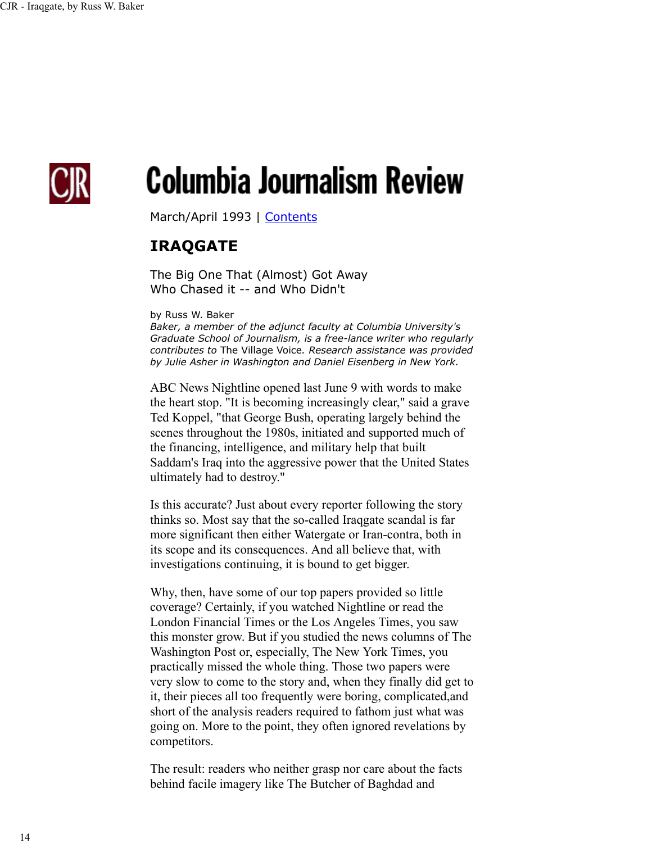

# **Columbia Journalism Review**

March/April 1993 | Contents

# **IRAQGATE**

The Big One That (Almost) Got Away Who Chased it -- and Who Didn't

by Russ W. Baker

*Baker, a member of the adjunct faculty at Columbia University's Graduate School of Journalism, is a free-lance writer who regularly contributes to* The Village Voice*. Research assistance was provided by Julie Asher in Washington and Daniel Eisenberg in New York.*

ABC News Nightline opened last June 9 with words to make the heart stop. "It is becoming increasingly clear," said a grave Ted Koppel, "that George Bush, operating largely behind the scenes throughout the 1980s, initiated and supported much of the financing, intelligence, and military help that built Saddam's Iraq into the aggressive power that the United States ultimately had to destroy."

Is this accurate? Just about every reporter following the story thinks so. Most say that the so-called Iraqgate scandal is far more significant then either Watergate or Iran-contra, both in its scope and its consequences. And all believe that, with investigations continuing, it is bound to get bigger.

Why, then, have some of our top papers provided so little coverage? Certainly, if you watched Nightline or read the London Financial Times or the Los Angeles Times, you saw this monster grow. But if you studied the news columns of The Washington Post or, especially, The New York Times, you practically missed the whole thing. Those two papers were very slow to come to the story and, when they finally did get to it, their pieces all too frequently were boring, complicated,and short of the analysis readers required to fathom just what was going on. More to the point, they often ignored revelations by competitors.

The result: readers who neither grasp nor care about the facts behind facile imagery like The Butcher of Baghdad and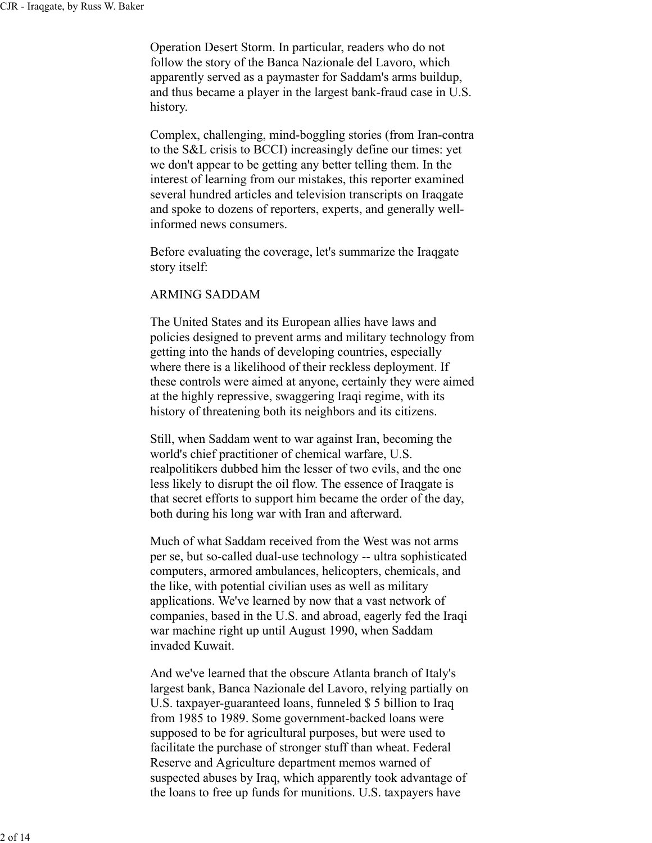Operation Desert Storm. In particular, readers who do not follow the story of the Banca Nazionale del Lavoro, which apparently served as a paymaster for Saddam's arms buildup, and thus became a player in the largest bank-fraud case in U.S. history.

Complex, challenging, mind-boggling stories (from Iran-contra to the S&L crisis to BCCI) increasingly define our times: yet we don't appear to be getting any better telling them. In the interest of learning from our mistakes, this reporter examined several hundred articles and television transcripts on Iraqgate and spoke to dozens of reporters, experts, and generally wellinformed news consumers.

Before evaluating the coverage, let's summarize the Iraqgate story itself:

# ARMING SADDAM

The United States and its European allies have laws and policies designed to prevent arms and military technology from getting into the hands of developing countries, especially where there is a likelihood of their reckless deployment. If these controls were aimed at anyone, certainly they were aimed at the highly repressive, swaggering Iraqi regime, with its history of threatening both its neighbors and its citizens.

Still, when Saddam went to war against Iran, becoming the world's chief practitioner of chemical warfare, U.S. realpolitikers dubbed him the lesser of two evils, and the one less likely to disrupt the oil flow. The essence of Iraqgate is that secret efforts to support him became the order of the day, both during his long war with Iran and afterward.

Much of what Saddam received from the West was not arms per se, but so-called dual-use technology -- ultra sophisticated computers, armored ambulances, helicopters, chemicals, and the like, with potential civilian uses as well as military applications. We've learned by now that a vast network of companies, based in the U.S. and abroad, eagerly fed the Iraqi war machine right up until August 1990, when Saddam invaded Kuwait.

And we've learned that the obscure Atlanta branch of Italy's largest bank, Banca Nazionale del Lavoro, relying partially on U.S. taxpayer-guaranteed loans, funneled \$ 5 billion to Iraq from 1985 to 1989. Some government-backed loans were supposed to be for agricultural purposes, but were used to facilitate the purchase of stronger stuff than wheat. Federal Reserve and Agriculture department memos warned of suspected abuses by Iraq, which apparently took advantage of the loans to free up funds for munitions. U.S. taxpayers have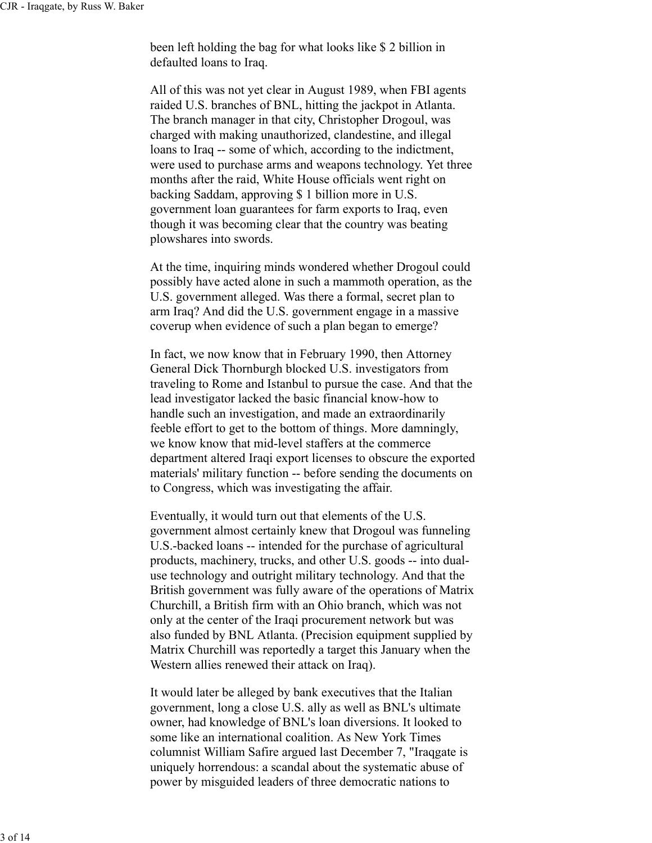been left holding the bag for what looks like \$ 2 billion in defaulted loans to Iraq.

All of this was not yet clear in August 1989, when FBI agents raided U.S. branches of BNL, hitting the jackpot in Atlanta. The branch manager in that city, Christopher Drogoul, was charged with making unauthorized, clandestine, and illegal loans to Iraq -- some of which, according to the indictment, were used to purchase arms and weapons technology. Yet three months after the raid, White House officials went right on backing Saddam, approving \$ 1 billion more in U.S. government loan guarantees for farm exports to Iraq, even though it was becoming clear that the country was beating plowshares into swords.

At the time, inquiring minds wondered whether Drogoul could possibly have acted alone in such a mammoth operation, as the U.S. government alleged. Was there a formal, secret plan to arm Iraq? And did the U.S. government engage in a massive coverup when evidence of such a plan began to emerge?

In fact, we now know that in February 1990, then Attorney General Dick Thornburgh blocked U.S. investigators from traveling to Rome and Istanbul to pursue the case. And that the lead investigator lacked the basic financial know-how to handle such an investigation, and made an extraordinarily feeble effort to get to the bottom of things. More damningly, we know know that mid-level staffers at the commerce department altered Iraqi export licenses to obscure the exported materials' military function -- before sending the documents on to Congress, which was investigating the affair.

Eventually, it would turn out that elements of the U.S. government almost certainly knew that Drogoul was funneling U.S.-backed loans -- intended for the purchase of agricultural products, machinery, trucks, and other U.S. goods -- into dualuse technology and outright military technology. And that the British government was fully aware of the operations of Matrix Churchill, a British firm with an Ohio branch, which was not only at the center of the Iraqi procurement network but was also funded by BNL Atlanta. (Precision equipment supplied by Matrix Churchill was reportedly a target this January when the Western allies renewed their attack on Iraq).

It would later be alleged by bank executives that the Italian government, long a close U.S. ally as well as BNL's ultimate owner, had knowledge of BNL's loan diversions. It looked to some like an international coalition. As New York Times columnist William Safire argued last December 7, "Iraqgate is uniquely horrendous: a scandal about the systematic abuse of power by misguided leaders of three democratic nations to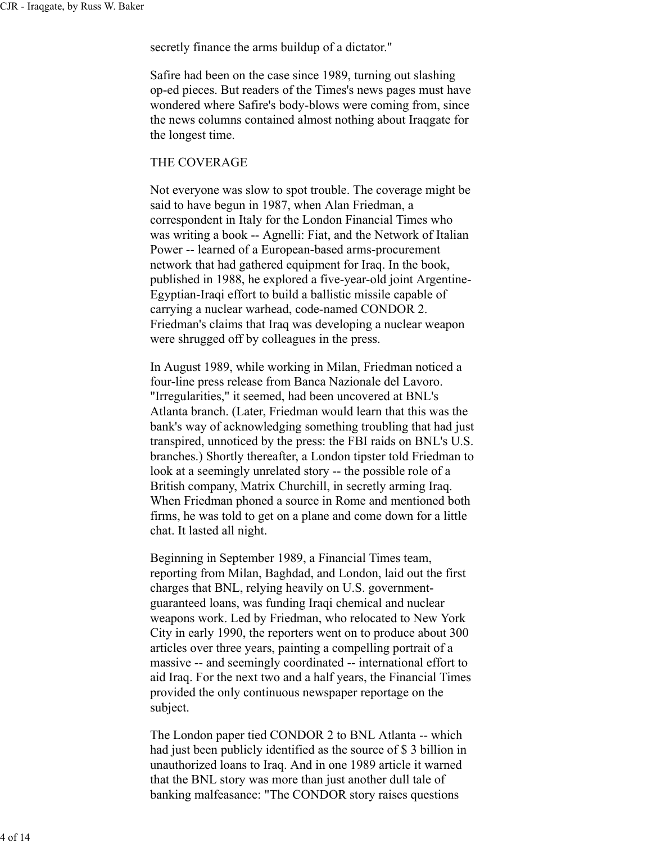secretly finance the arms buildup of a dictator."

Safire had been on the case since 1989, turning out slashing op-ed pieces. But readers of the Times's news pages must have wondered where Safire's body-blows were coming from, since the news columns contained almost nothing about Iraqgate for the longest time.

#### THE COVERAGE

Not everyone was slow to spot trouble. The coverage might be said to have begun in 1987, when Alan Friedman, a correspondent in Italy for the London Financial Times who was writing a book -- Agnelli: Fiat, and the Network of Italian Power -- learned of a European-based arms-procurement network that had gathered equipment for Iraq. In the book, published in 1988, he explored a five-year-old joint Argentine-Egyptian-Iraqi effort to build a ballistic missile capable of carrying a nuclear warhead, code-named CONDOR 2. Friedman's claims that Iraq was developing a nuclear weapon were shrugged off by colleagues in the press.

In August 1989, while working in Milan, Friedman noticed a four-line press release from Banca Nazionale del Lavoro. "Irregularities," it seemed, had been uncovered at BNL's Atlanta branch. (Later, Friedman would learn that this was the bank's way of acknowledging something troubling that had just transpired, unnoticed by the press: the FBI raids on BNL's U.S. branches.) Shortly thereafter, a London tipster told Friedman to look at a seemingly unrelated story -- the possible role of a British company, Matrix Churchill, in secretly arming Iraq. When Friedman phoned a source in Rome and mentioned both firms, he was told to get on a plane and come down for a little chat. It lasted all night.

Beginning in September 1989, a Financial Times team, reporting from Milan, Baghdad, and London, laid out the first charges that BNL, relying heavily on U.S. governmentguaranteed loans, was funding Iraqi chemical and nuclear weapons work. Led by Friedman, who relocated to New York City in early 1990, the reporters went on to produce about 300 articles over three years, painting a compelling portrait of a massive -- and seemingly coordinated -- international effort to aid Iraq. For the next two and a half years, the Financial Times provided the only continuous newspaper reportage on the subject.

The London paper tied CONDOR 2 to BNL Atlanta -- which had just been publicly identified as the source of \$ 3 billion in unauthorized loans to Iraq. And in one 1989 article it warned that the BNL story was more than just another dull tale of banking malfeasance: "The CONDOR story raises questions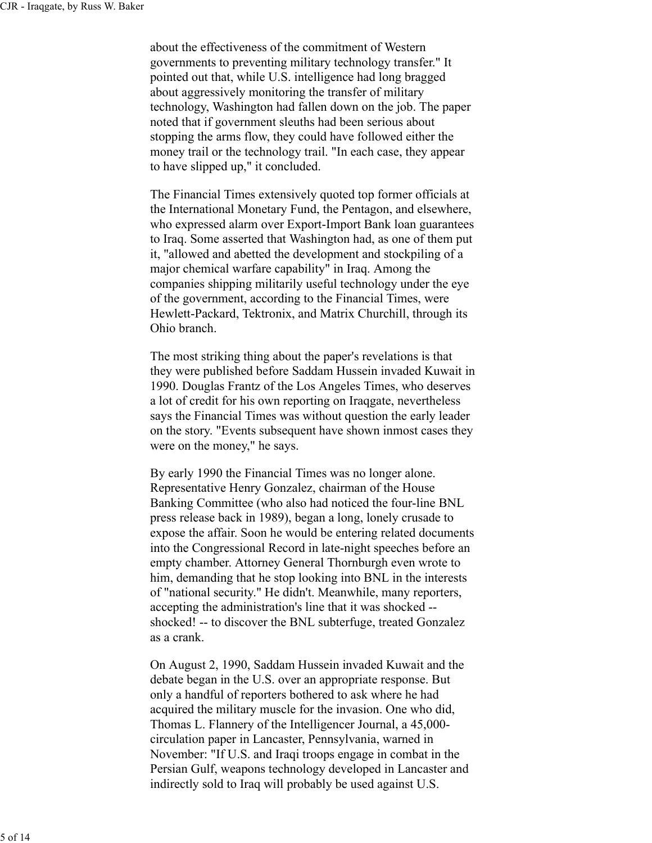about the effectiveness of the commitment of Western governments to preventing military technology transfer." It pointed out that, while U.S. intelligence had long bragged about aggressively monitoring the transfer of military technology, Washington had fallen down on the job. The paper noted that if government sleuths had been serious about stopping the arms flow, they could have followed either the money trail or the technology trail. "In each case, they appear to have slipped up," it concluded.

The Financial Times extensively quoted top former officials at the International Monetary Fund, the Pentagon, and elsewhere, who expressed alarm over Export-Import Bank loan guarantees to Iraq. Some asserted that Washington had, as one of them put it, "allowed and abetted the development and stockpiling of a major chemical warfare capability" in Iraq. Among the companies shipping militarily useful technology under the eye of the government, according to the Financial Times, were Hewlett-Packard, Tektronix, and Matrix Churchill, through its Ohio branch.

The most striking thing about the paper's revelations is that they were published before Saddam Hussein invaded Kuwait in 1990. Douglas Frantz of the Los Angeles Times, who deserves a lot of credit for his own reporting on Iraqgate, nevertheless says the Financial Times was without question the early leader on the story. "Events subsequent have shown inmost cases they were on the money," he says.

By early 1990 the Financial Times was no longer alone. Representative Henry Gonzalez, chairman of the House Banking Committee (who also had noticed the four-line BNL press release back in 1989), began a long, lonely crusade to expose the affair. Soon he would be entering related documents into the Congressional Record in late-night speeches before an empty chamber. Attorney General Thornburgh even wrote to him, demanding that he stop looking into BNL in the interests of "national security." He didn't. Meanwhile, many reporters, accepting the administration's line that it was shocked - shocked! -- to discover the BNL subterfuge, treated Gonzalez as a crank.

On August 2, 1990, Saddam Hussein invaded Kuwait and the debate began in the U.S. over an appropriate response. But only a handful of reporters bothered to ask where he had acquired the military muscle for the invasion. One who did, Thomas L. Flannery of the Intelligencer Journal, a 45,000 circulation paper in Lancaster, Pennsylvania, warned in November: "If U.S. and Iraqi troops engage in combat in the Persian Gulf, weapons technology developed in Lancaster and indirectly sold to Iraq will probably be used against U.S.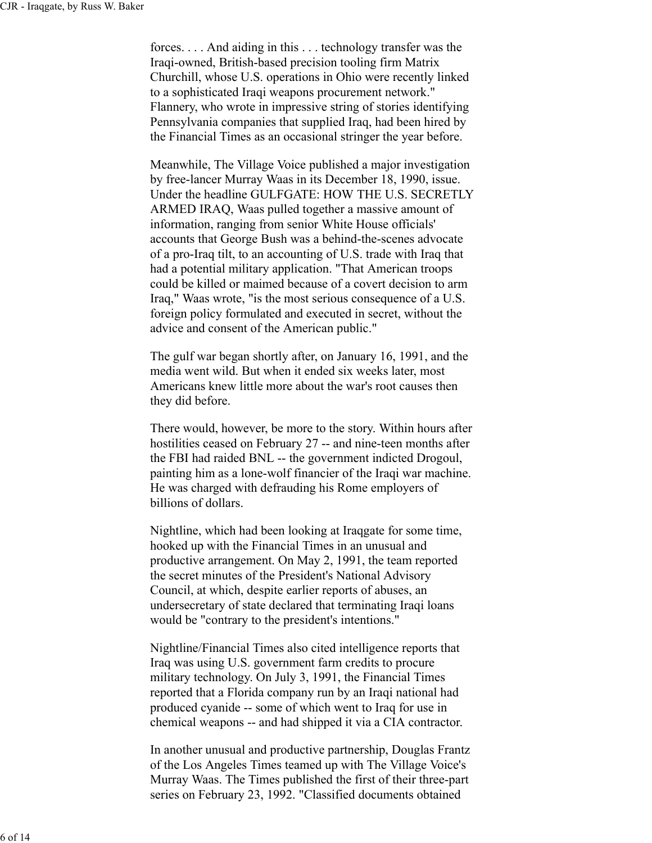forces. . . . And aiding in this . . . technology transfer was the Iraqi-owned, British-based precision tooling firm Matrix Churchill, whose U.S. operations in Ohio were recently linked to a sophisticated Iraqi weapons procurement network." Flannery, who wrote in impressive string of stories identifying Pennsylvania companies that supplied Iraq, had been hired by the Financial Times as an occasional stringer the year before.

Meanwhile, The Village Voice published a major investigation by free-lancer Murray Waas in its December 18, 1990, issue. Under the headline GULFGATE: HOW THE U.S. SECRETLY ARMED IRAQ, Waas pulled together a massive amount of information, ranging from senior White House officials' accounts that George Bush was a behind-the-scenes advocate of a pro-Iraq tilt, to an accounting of U.S. trade with Iraq that had a potential military application. "That American troops could be killed or maimed because of a covert decision to arm Iraq," Waas wrote, "is the most serious consequence of a U.S. foreign policy formulated and executed in secret, without the advice and consent of the American public."

The gulf war began shortly after, on January 16, 1991, and the media went wild. But when it ended six weeks later, most Americans knew little more about the war's root causes then they did before.

There would, however, be more to the story. Within hours after hostilities ceased on February 27 -- and nine-teen months after the FBI had raided BNL -- the government indicted Drogoul, painting him as a lone-wolf financier of the Iraqi war machine. He was charged with defrauding his Rome employers of billions of dollars.

Nightline, which had been looking at Iraqgate for some time, hooked up with the Financial Times in an unusual and productive arrangement. On May 2, 1991, the team reported the secret minutes of the President's National Advisory Council, at which, despite earlier reports of abuses, an undersecretary of state declared that terminating Iraqi loans would be "contrary to the president's intentions."

Nightline/Financial Times also cited intelligence reports that Iraq was using U.S. government farm credits to procure military technology. On July 3, 1991, the Financial Times reported that a Florida company run by an Iraqi national had produced cyanide -- some of which went to Iraq for use in chemical weapons -- and had shipped it via a CIA contractor.

In another unusual and productive partnership, Douglas Frantz of the Los Angeles Times teamed up with The Village Voice's Murray Waas. The Times published the first of their three-part series on February 23, 1992. "Classified documents obtained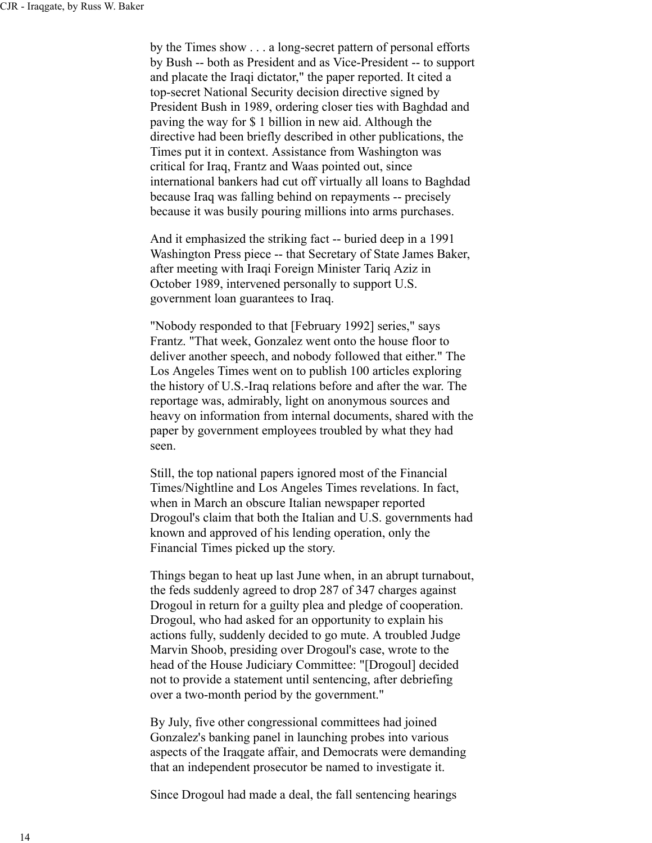by the Times show . . . a long-secret pattern of personal efforts by Bush -- both as President and as Vice-President -- to support and placate the Iraqi dictator," the paper reported. It cited a top-secret National Security decision directive signed by President Bush in 1989, ordering closer ties with Baghdad and paving the way for \$ 1 billion in new aid. Although the directive had been briefly described in other publications, the Times put it in context. Assistance from Washington was critical for Iraq, Frantz and Waas pointed out, since international bankers had cut off virtually all loans to Baghdad because Iraq was falling behind on repayments -- precisely because it was busily pouring millions into arms purchases.

And it emphasized the striking fact -- buried deep in a 1991 Washington Press piece -- that Secretary of State James Baker, after meeting with Iraqi Foreign Minister Tariq Aziz in October 1989, intervened personally to support U.S. government loan guarantees to Iraq.

"Nobody responded to that [February 1992] series," says Frantz. "That week, Gonzalez went onto the house floor to deliver another speech, and nobody followed that either." The Los Angeles Times went on to publish 100 articles exploring the history of U.S.-Iraq relations before and after the war. The reportage was, admirably, light on anonymous sources and heavy on information from internal documents, shared with the paper by government employees troubled by what they had seen.

Still, the top national papers ignored most of the Financial Times/Nightline and Los Angeles Times revelations. In fact, when in March an obscure Italian newspaper reported Drogoul's claim that both the Italian and U.S. governments had known and approved of his lending operation, only the Financial Times picked up the story.

Things began to heat up last June when, in an abrupt turnabout, the feds suddenly agreed to drop 287 of 347 charges against Drogoul in return for a guilty plea and pledge of cooperation. Drogoul, who had asked for an opportunity to explain his actions fully, suddenly decided to go mute. A troubled Judge Marvin Shoob, presiding over Drogoul's case, wrote to the head of the House Judiciary Committee: "[Drogoul] decided not to provide a statement until sentencing, after debriefing over a two-month period by the government."

By July, five other congressional committees had joined Gonzalez's banking panel in launching probes into various aspects of the Iraqgate affair, and Democrats were demanding that an independent prosecutor be named to investigate it.

Since Drogoul had made a deal, the fall sentencing hearings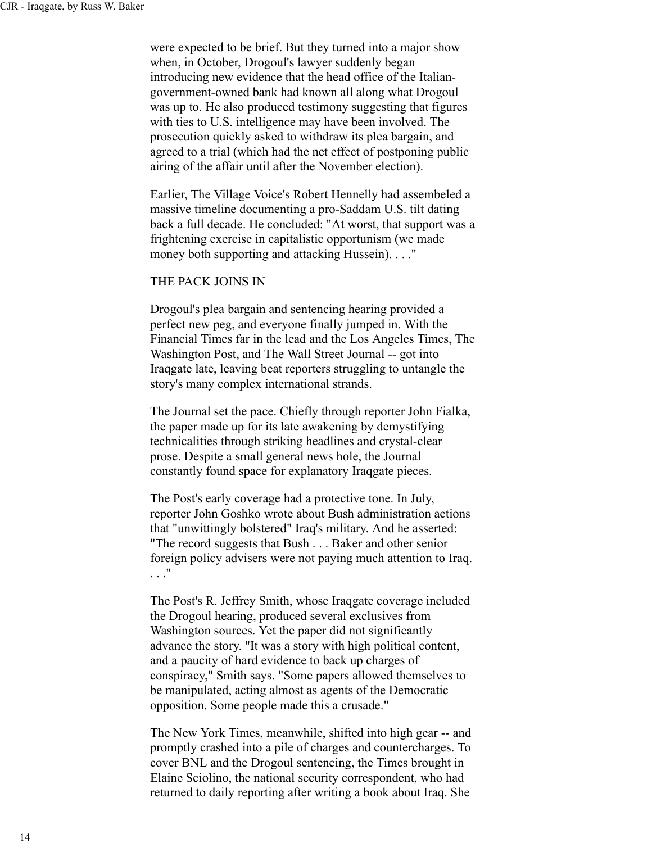were expected to be brief. But they turned into a major show when, in October, Drogoul's lawyer suddenly began introducing new evidence that the head office of the Italiangovernment-owned bank had known all along what Drogoul was up to. He also produced testimony suggesting that figures with ties to U.S. intelligence may have been involved. The prosecution quickly asked to withdraw its plea bargain, and agreed to a trial (which had the net effect of postponing public airing of the affair until after the November election).

Earlier, The Village Voice's Robert Hennelly had assembeled a massive timeline documenting a pro-Saddam U.S. tilt dating back a full decade. He concluded: "At worst, that support was a frightening exercise in capitalistic opportunism (we made money both supporting and attacking Hussein). . . ."

#### THE PACK JOINS IN

Drogoul's plea bargain and sentencing hearing provided a perfect new peg, and everyone finally jumped in. With the Financial Times far in the lead and the Los Angeles Times, The Washington Post, and The Wall Street Journal -- got into Iraqgate late, leaving beat reporters struggling to untangle the story's many complex international strands.

The Journal set the pace. Chiefly through reporter John Fialka, the paper made up for its late awakening by demystifying technicalities through striking headlines and crystal-clear prose. Despite a small general news hole, the Journal constantly found space for explanatory Iraqgate pieces.

The Post's early coverage had a protective tone. In July, reporter John Goshko wrote about Bush administration actions that "unwittingly bolstered" Iraq's military. And he asserted: "The record suggests that Bush . . . Baker and other senior foreign policy advisers were not paying much attention to Iraq. . . ."

The Post's R. Jeffrey Smith, whose Iraqgate coverage included the Drogoul hearing, produced several exclusives from Washington sources. Yet the paper did not significantly advance the story. "It was a story with high political content, and a paucity of hard evidence to back up charges of conspiracy," Smith says. "Some papers allowed themselves to be manipulated, acting almost as agents of the Democratic opposition. Some people made this a crusade."

The New York Times, meanwhile, shifted into high gear -- and promptly crashed into a pile of charges and countercharges. To cover BNL and the Drogoul sentencing, the Times brought in Elaine Sciolino, the national security correspondent, who had returned to daily reporting after writing a book about Iraq. She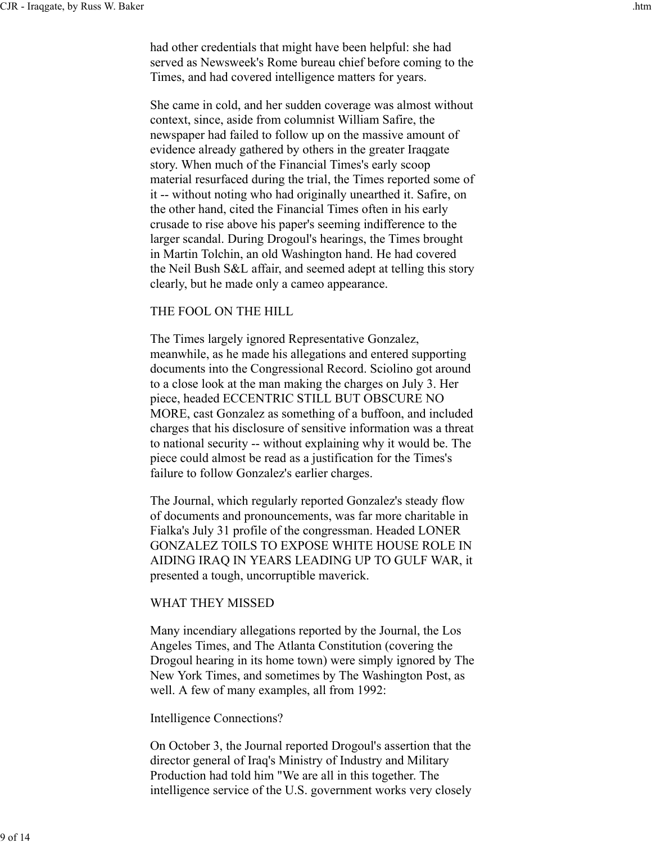had other credentials that might have been helpful: she had served as Newsweek's Rome bureau chief before coming to the Times, and had covered intelligence matters for years.

She came in cold, and her sudden coverage was almost without context, since, aside from columnist William Safire, the newspaper had failed to follow up on the massive amount of evidence already gathered by others in the greater Iraqgate story. When much of the Financial Times's early scoop material resurfaced during the trial, the Times reported some of it -- without noting who had originally unearthed it. Safire, on the other hand, cited the Financial Times often in his early crusade to rise above his paper's seeming indifference to the larger scandal. During Drogoul's hearings, the Times brought in Martin Tolchin, an old Washington hand. He had covered the Neil Bush S&L affair, and seemed adept at telling this story clearly, but he made only a cameo appearance.

# THE FOOL ON THE HILL

The Times largely ignored Representative Gonzalez, meanwhile, as he made his allegations and entered supporting documents into the Congressional Record. Sciolino got around to a close look at the man making the charges on July 3. Her piece, headed ECCENTRIC STILL BUT OBSCURE NO MORE, cast Gonzalez as something of a buffoon, and included charges that his disclosure of sensitive information was a threat to national security -- without explaining why it would be. The piece could almost be read as a justification for the Times's failure to follow Gonzalez's earlier charges.

The Journal, which regularly reported Gonzalez's steady flow of documents and pronouncements, was far more charitable in Fialka's July 31 profile of the congressman. Headed LONER GONZALEZ TOILS TO EXPOSE WHITE HOUSE ROLE IN AIDING IRAQ IN YEARS LEADING UP TO GULF WAR, it presented a tough, uncorruptible maverick.

# WHAT THEY MISSED

Many incendiary allegations reported by the Journal, the Los Angeles Times, and The Atlanta Constitution (covering the Drogoul hearing in its home town) were simply ignored by The New York Times, and sometimes by The Washington Post, as well. A few of many examples, all from 1992:

# Intelligence Connections?

On October 3, the Journal reported Drogoul's assertion that the director general of Iraq's Ministry of Industry and Military Production had told him "We are all in this together. The intelligence service of the U.S. government works very closely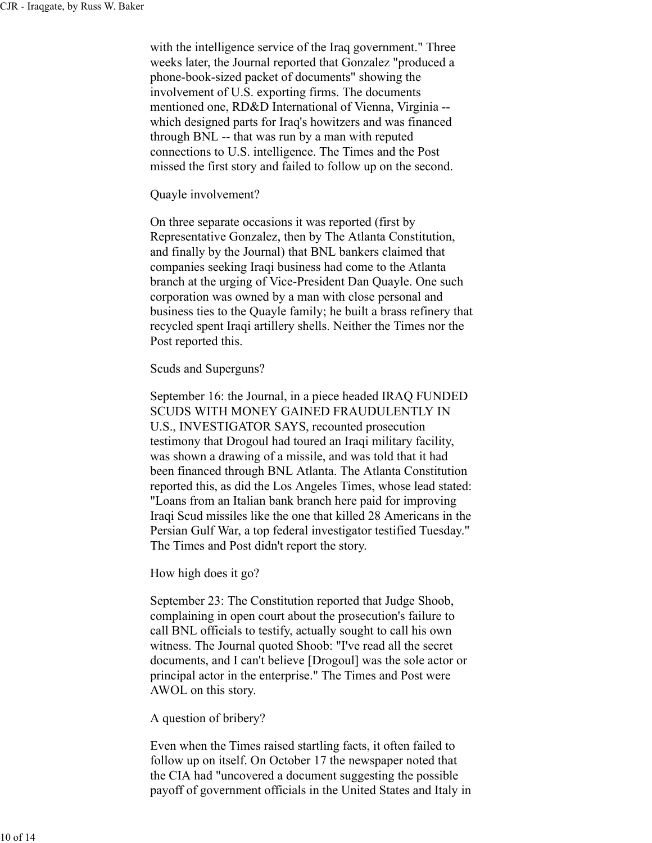with the intelligence service of the Iraq government." Three weeks later, the Journal reported that Gonzalez "produced a phone-book-sized packet of documents" showing the involvement of U.S. exporting firms. The documents mentioned one, RD&D International of Vienna, Virginia - which designed parts for Iraq's howitzers and was financed through BNL -- that was run by a man with reputed connections to U.S. intelligence. The Times and the Post missed the first story and failed to follow up on the second.

#### Quayle involvement?

On three separate occasions it was reported (first by Representative Gonzalez, then by The Atlanta Constitution, and finally by the Journal) that BNL bankers claimed that companies seeking Iraqi business had come to the Atlanta branch at the urging of Vice-President Dan Quayle. One such corporation was owned by a man with close personal and business ties to the Quayle family; he built a brass refinery that recycled spent Iraqi artillery shells. Neither the Times nor the Post reported this.

Scuds and Superguns?

September 16: the Journal, in a piece headed IRAQ FUNDED SCUDS WITH MONEY GAINED FRAUDULENTLY IN U.S., INVESTIGATOR SAYS, recounted prosecution testimony that Drogoul had toured an Iraqi military facility, was shown a drawing of a missile, and was told that it had been financed through BNL Atlanta. The Atlanta Constitution reported this, as did the Los Angeles Times, whose lead stated: "Loans from an Italian bank branch here paid for improving Iraqi Scud missiles like the one that killed 28 Americans in the Persian Gulf War, a top federal investigator testified Tuesday." The Times and Post didn't report the story.

How high does it go?

September 23: The Constitution reported that Judge Shoob, complaining in open court about the prosecution's failure to call BNL officials to testify, actually sought to call his own witness. The Journal quoted Shoob: "I've read all the secret documents, and I can't believe [Drogoul] was the sole actor or principal actor in the enterprise." The Times and Post were AWOL on this story.

A question of bribery?

Even when the Times raised startling facts, it often failed to follow up on itself. On October 17 the newspaper noted that the CIA had "uncovered a document suggesting the possible payoff of government officials in the United States and Italy in

10 of 14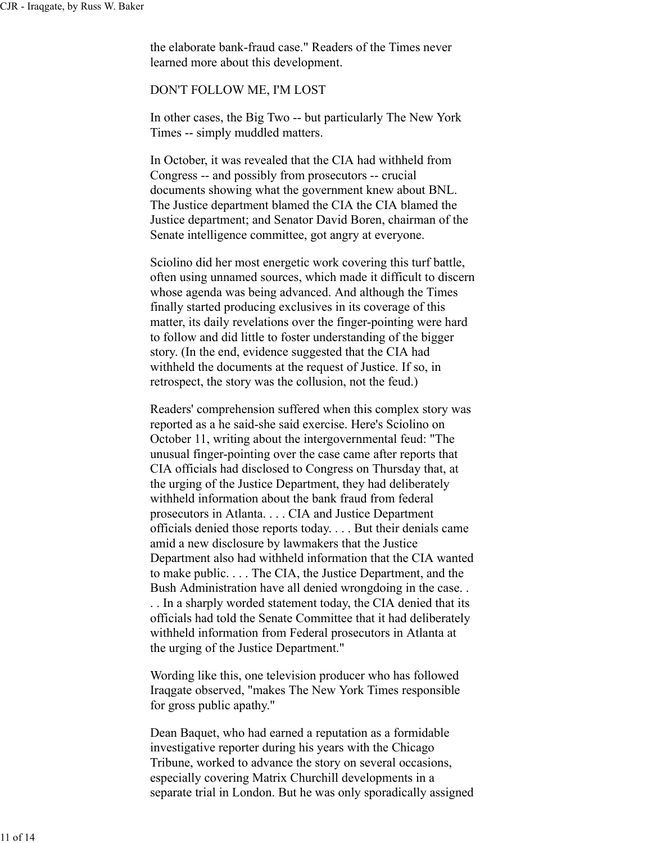the elaborate bank-fraud case." Readers of the Times never learned more about this development.

# DON'T FOLLOW ME, I'M LOST

In other cases, the Big Two -- but particularly The New York Times -- simply muddled matters.

In October, it was revealed that the CIA had withheld from Congress -- and possibly from prosecutors -- crucial documents showing what the government knew about BNL. The Justice department blamed the CIA the CIA blamed the Justice department; and Senator David Boren, chairman of the Senate intelligence committee, got angry at everyone.

Sciolino did her most energetic work covering this turf battle, often using unnamed sources, which made it difficult to discern whose agenda was being advanced. And although the Times finally started producing exclusives in its coverage of this matter, its daily revelations over the finger-pointing were hard to follow and did little to foster understanding of the bigger story. (In the end, evidence suggested that the CIA had withheld the documents at the request of Justice. If so, in retrospect, the story was the collusion, not the feud.)

Readers' comprehension suffered when this complex story was reported as a he said-she said exercise. Here's Sciolino on October 11, writing about the intergovernmental feud: "The unusual finger-pointing over the case came after reports that CIA officials had disclosed to Congress on Thursday that, at the urging of the Justice Department, they had deliberately withheld information about the bank fraud from federal prosecutors in Atlanta. . . . CIA and Justice Department officials denied those reports today. . . . But their denials came amid a new disclosure by lawmakers that the Justice Department also had withheld information that the CIA wanted to make public. . . . The CIA, the Justice Department, and the Bush Administration have all denied wrongdoing in the case. . . . In a sharply worded statement today, the CIA denied that its officials had told the Senate Committee that it had deliberately withheld information from Federal prosecutors in Atlanta at the urging of the Justice Department."

Wording like this, one television producer who has followed Iraqgate observed, "makes The New York Times responsible for gross public apathy."

Dean Baquet, who had earned a reputation as a formidable investigative reporter during his years with the Chicago Tribune, worked to advance the story on several occasions, especially covering Matrix Churchill developments in a separate trial in London. But he was only sporadically assigned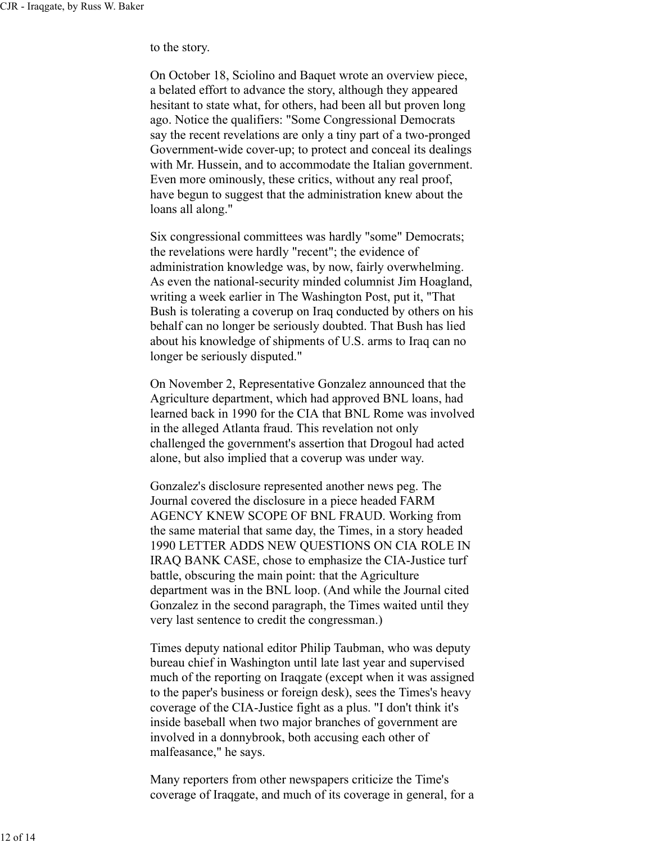to the story.

On October 18, Sciolino and Baquet wrote an overview piece, a belated effort to advance the story, although they appeared hesitant to state what, for others, had been all but proven long ago. Notice the qualifiers: "Some Congressional Democrats say the recent revelations are only a tiny part of a two-pronged Government-wide cover-up; to protect and conceal its dealings with Mr. Hussein, and to accommodate the Italian government. Even more ominously, these critics, without any real proof, have begun to suggest that the administration knew about the loans all along."

Six congressional committees was hardly "some" Democrats; the revelations were hardly "recent"; the evidence of administration knowledge was, by now, fairly overwhelming. As even the national-security minded columnist Jim Hoagland, writing a week earlier in The Washington Post, put it, "That Bush is tolerating a coverup on Iraq conducted by others on his behalf can no longer be seriously doubted. That Bush has lied about his knowledge of shipments of U.S. arms to Iraq can no longer be seriously disputed."

On November 2, Representative Gonzalez announced that the Agriculture department, which had approved BNL loans, had learned back in 1990 for the CIA that BNL Rome was involved in the alleged Atlanta fraud. This revelation not only challenged the government's assertion that Drogoul had acted alone, but also implied that a coverup was under way.

Gonzalez's disclosure represented another news peg. The Journal covered the disclosure in a piece headed FARM AGENCY KNEW SCOPE OF BNL FRAUD. Working from the same material that same day, the Times, in a story headed 1990 LETTER ADDS NEW QUESTIONS ON CIA ROLE IN IRAQ BANK CASE, chose to emphasize the CIA-Justice turf battle, obscuring the main point: that the Agriculture department was in the BNL loop. (And while the Journal cited Gonzalez in the second paragraph, the Times waited until they very last sentence to credit the congressman.)

Times deputy national editor Philip Taubman, who was deputy bureau chief in Washington until late last year and supervised much of the reporting on Iraqgate (except when it was assigned to the paper's business or foreign desk), sees the Times's heavy coverage of the CIA-Justice fight as a plus. "I don't think it's inside baseball when two major branches of government are involved in a donnybrook, both accusing each other of malfeasance," he says.

Many reporters from other newspapers criticize the Time's coverage of Iraqgate, and much of its coverage in general, for a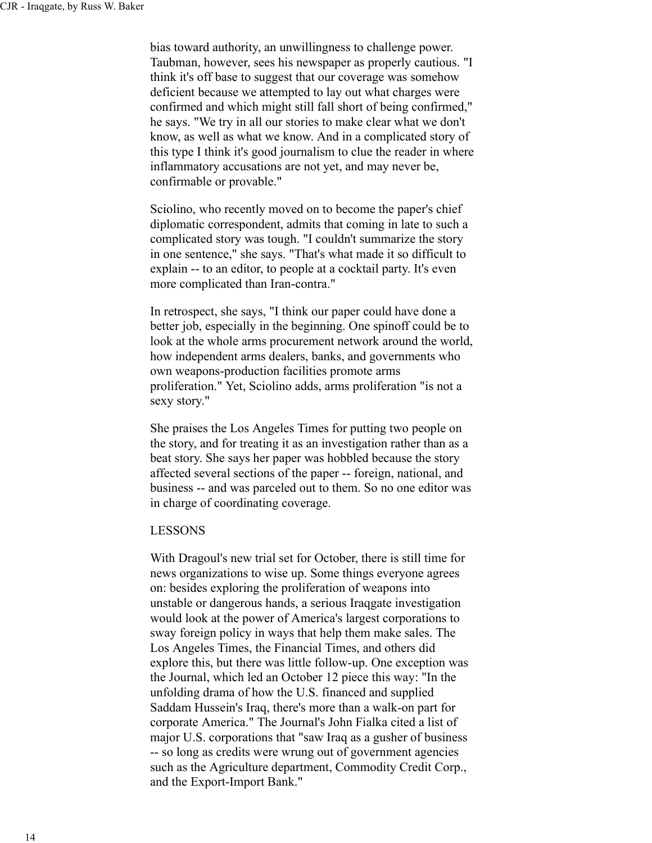bias toward authority, an unwillingness to challenge power. Taubman, however, sees his newspaper as properly cautious. "I think it's off base to suggest that our coverage was somehow deficient because we attempted to lay out what charges were confirmed and which might still fall short of being confirmed," he says. "We try in all our stories to make clear what we don't know, as well as what we know. And in a complicated story of this type I think it's good journalism to clue the reader in where inflammatory accusations are not yet, and may never be, confirmable or provable."

Sciolino, who recently moved on to become the paper's chief diplomatic correspondent, admits that coming in late to such a complicated story was tough. "I couldn't summarize the story in one sentence," she says. "That's what made it so difficult to explain -- to an editor, to people at a cocktail party. It's even more complicated than Iran-contra."

In retrospect, she says, "I think our paper could have done a better job, especially in the beginning. One spinoff could be to look at the whole arms procurement network around the world, how independent arms dealers, banks, and governments who own weapons-production facilities promote arms proliferation." Yet, Sciolino adds, arms proliferation "is not a sexy story."

She praises the Los Angeles Times for putting two people on the story, and for treating it as an investigation rather than as a beat story. She says her paper was hobbled because the story affected several sections of the paper -- foreign, national, and business -- and was parceled out to them. So no one editor was in charge of coordinating coverage.

#### LESSONS

With Dragoul's new trial set for October, there is still time for news organizations to wise up. Some things everyone agrees on: besides exploring the proliferation of weapons into unstable or dangerous hands, a serious Iraqgate investigation would look at the power of America's largest corporations to sway foreign policy in ways that help them make sales. The Los Angeles Times, the Financial Times, and others did explore this, but there was little follow-up. One exception was the Journal, which led an October 12 piece this way: "In the unfolding drama of how the U.S. financed and supplied Saddam Hussein's Iraq, there's more than a walk-on part for corporate America." The Journal's John Fialka cited a list of major U.S. corporations that "saw Iraq as a gusher of business -- so long as credits were wrung out of government agencies such as the Agriculture department, Commodity Credit Corp., and the Export-Import Bank."